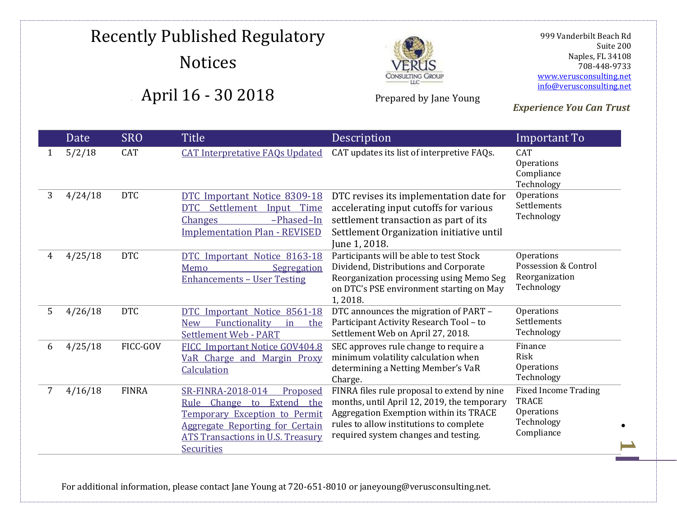

Prepared by Jane Young

 999 Vanderbilt Beach Rd Suite 200 Naples, FL 34108 708-448-9733 [www.verusconsulting.net](http://www.verusconsulting.net/) [info@verusconsulting.net](mailto:info@verusconsulting.net)

*Experience You Can Trust*

#### 0 Date SRO Title Description **Important To** 1 5/2/18 CAT [CAT Interpretative FAQs Updated](https://www.catnmsplan.com/faq/interpretive-faq/) CAT updates its list of interpretive FAQs. CAT Operations Compliance Technology 3 4/24/18 DTC [DTC Important Notice 8309-18](http://www.dtcc.com/~/media/Files/pdf/2018/4/24/B8309-18.pdf)  [DTC Settlement Input Time](http://www.dtcc.com/~/media/Files/pdf/2018/4/24/B8309-18.pdf)  [Changes](http://www.dtcc.com/~/media/Files/pdf/2018/4/24/B8309-18.pdf) –Phased–In [Implementation Plan -](http://www.dtcc.com/~/media/Files/pdf/2018/4/24/B8309-18.pdf) REVISED DTC revises its implementation date for accelerating input cutoffs for various settlement transaction as part of its Settlement Organization initiative until June 1, 2018. **Operations** Settlements Technology 4 4/25/18 DTC [DTC Important Notice 8163-18](http://www.dtcc.com/~/media/Files/pdf/2018/4/25/8163-18.pdf)  Memo Segregation [Enhancements](http://www.dtcc.com/~/media/Files/pdf/2018/4/25/8163-18.pdf) – User Testing Participants will be able to test Stock Dividend, Distributions and Corporate Reorganization processing using Memo Seg on DTC's PSE environment starting on May 1, 2018. Operations Possession & Control Reorganization Technology 5 4/26/18 DTC [DTC Important Notice 8561-18](http://www.dtcc.com/~/media/Files/pdf/2018/4/26/PART%20IN%20PDF.pdf)  [New Functionality in the](http://www.dtcc.com/~/media/Files/pdf/2018/4/26/PART%20IN%20PDF.pdf)  [Settlement Web -](http://www.dtcc.com/~/media/Files/pdf/2018/4/26/PART%20IN%20PDF.pdf) PART DTC announces the migration of PART – Participant Activity Research Tool – to Settlement Web on April 27, 2018. Operations Settlements Technology 6 4/25/18 FICC-GOV [FICC Important Notice GOV404.8](http://www.dtcc.com/~/media/Files/pdf/2018/4/25/GOV404-18.pdf)  [VaR Charge and Margin Proxy](http://www.dtcc.com/~/media/Files/pdf/2018/4/25/GOV404-18.pdf)  **[Calculation](http://www.dtcc.com/~/media/Files/pdf/2018/4/25/GOV404-18.pdf)** SEC approves rule change to require a minimum volatility calculation when determining a Netting Member's VaR Charge. Finance Risk **Operations** Technology 7 4/16/18 FINRA [SR-FINRA-2018-014 Proposed](http://www.finra.org/sites/default/files/rule_filing_file/SR-FINRA-2018-014.pdf)  [Rule Change to Extend the](http://www.finra.org/sites/default/files/rule_filing_file/SR-FINRA-2018-014.pdf)  [Temporary Exception to Permit](http://www.finra.org/sites/default/files/rule_filing_file/SR-FINRA-2018-014.pdf)  [Aggregate Reporting for Certain](http://www.finra.org/sites/default/files/rule_filing_file/SR-FINRA-2018-014.pdf)  [ATS Transactions in U.S. Treasury](http://www.finra.org/sites/default/files/rule_filing_file/SR-FINRA-2018-014.pdf)  **[Securities](http://www.finra.org/sites/default/files/rule_filing_file/SR-FINRA-2018-014.pdf)** FINRA files rule proposal to extend by nine months, until April 12, 2019, the temporary Aggregation Exemption within its TRACE rules to allow institutions to complete required system changes and testing. Fixed Income Trading TRACE **Operations** Technology Compliance

For additional information, please contact Jane Young at 720-651-8010 or janeyoung@verusconsulting.net.

**1**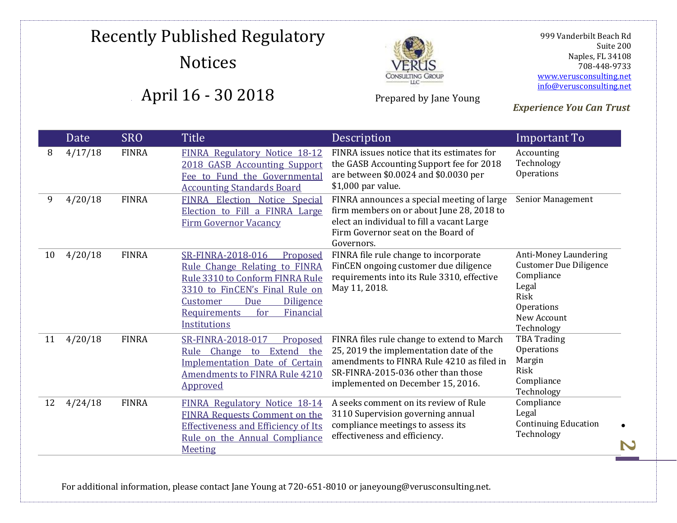

Prepared by Jane Young

 999 Vanderbilt Beach Rd Suite 200 Naples, FL 34108 708-448-9733 [www.verusconsulting.net](http://www.verusconsulting.net/) [info@verusconsulting.net](mailto:info@verusconsulting.net)

### *Experience You Can Trust*

|    | Date    | <b>SRO</b>   | <b>Title</b>                                                                                                                                                                                                                          | Description                                                                                                                                                                                                   | Important To                                                                                                                     |
|----|---------|--------------|---------------------------------------------------------------------------------------------------------------------------------------------------------------------------------------------------------------------------------------|---------------------------------------------------------------------------------------------------------------------------------------------------------------------------------------------------------------|----------------------------------------------------------------------------------------------------------------------------------|
| 8  | 4/17/18 | <b>FINRA</b> | FINRA Regulatory Notice 18-12<br>2018 GASB Accounting Support<br>Fee to Fund the Governmental<br><b>Accounting Standards Board</b>                                                                                                    | FINRA issues notice that its estimates for<br>the GASB Accounting Support fee for 2018<br>are between \$0.0024 and \$0.0030 per<br>\$1,000 par value.                                                         | Accounting<br>Technology<br>Operations                                                                                           |
| 9  | 4/20/18 | <b>FINRA</b> | FINRA Election Notice Special<br>Election to Fill a FINRA Large<br><b>Firm Governor Vacancy</b>                                                                                                                                       | FINRA announces a special meeting of large<br>firm members on or about June 28, 2018 to<br>elect an individual to fill a vacant Large<br>Firm Governor seat on the Board of<br>Governors.                     | Senior Management                                                                                                                |
| 10 | 4/20/18 | <b>FINRA</b> | SR-FINRA-2018-016<br>Proposed<br>Rule Change Relating to FINRA<br>Rule 3310 to Conform FINRA Rule<br>3310 to FinCEN's Final Rule on<br>Customer<br>Due<br><b>Diligence</b><br>for<br>Financial<br><b>Requirements</b><br>Institutions | FINRA file rule change to incorporate<br>FinCEN ongoing customer due diligence<br>requirements into its Rule 3310, effective<br>May 11, 2018.                                                                 | Anti-Money Laundering<br><b>Customer Due Diligence</b><br>Compliance<br>Legal<br>Risk<br>Operations<br>New Account<br>Technology |
| 11 | 4/20/18 | <b>FINRA</b> | SR-FINRA-2018-017<br>Proposed<br>Extend the<br>Rule Change to<br><b>Implementation Date of Certain</b><br><b>Amendments to FINRA Rule 4210</b><br>Approved                                                                            | FINRA files rule change to extend to March<br>25, 2019 the implementation date of the<br>amendments to FINRA Rule 4210 as filed in<br>SR-FINRA-2015-036 other than those<br>implemented on December 15, 2016. | <b>TBA Trading</b><br>Operations<br>Margin<br>Risk<br>Compliance<br>Technology                                                   |
| 12 | 4/24/18 | <b>FINRA</b> | FINRA Regulatory Notice 18-14<br><b>FINRA Requests Comment on the</b><br><b>Effectiveness and Efficiency of Its</b><br>Rule on the Annual Compliance<br><b>Meeting</b>                                                                | A seeks comment on its review of Rule<br>3110 Supervision governing annual<br>compliance meetings to assess its<br>effectiveness and efficiency.                                                              | Compliance<br>Legal<br><b>Continuing Education</b><br>Technology                                                                 |

For additional information, please contact Jane Young at 720-651-8010 or janeyoung@verusconsulting.net.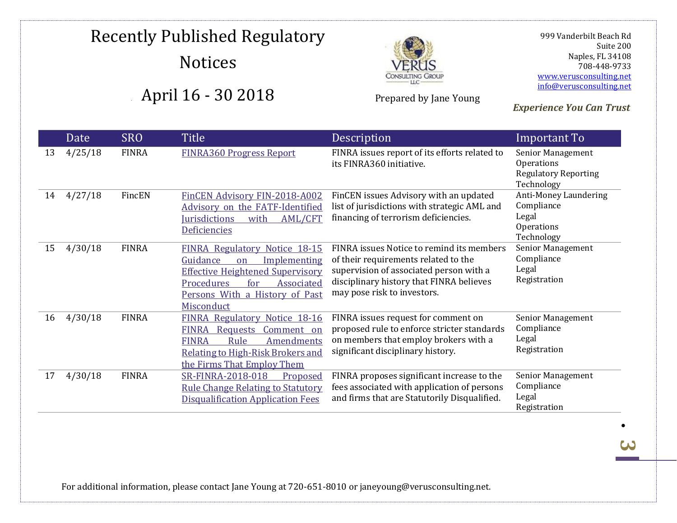

Prepared by Jane Young

 999 Vanderbilt Beach Rd Suite 200 Naples, FL 34108 708-448-9733 [www.verusconsulting.net](http://www.verusconsulting.net/) [info@verusconsulting.net](mailto:info@verusconsulting.net)

*Experience You Can Trust*

#### Date SRO Title Description **Important To** 13 4/25/18 FINRA [FINRA360 Progress Report](http://www.finra.org/sites/default/files/FINRA360ProgressReport_April2018.pdf) FINRA issues report of its efforts related to its FINRA360 initiative. Senior Management **Operations** Regulatory Reporting Technology 14 4/27/18 FincEN [FinCEN Advisory FIN-2018-A002](https://www.fincen.gov/sites/default/files/advisory/2018-04-27/FinCEN%20FATF%20Advisory%20FIN-2018-A002%20%28508%29.pdf)  [Advisory on the FATF-Identified](https://www.fincen.gov/sites/default/files/advisory/2018-04-27/FinCEN%20FATF%20Advisory%20FIN-2018-A002%20%28508%29.pdf)  [Jurisdictions with AML/CFT](https://www.fincen.gov/sites/default/files/advisory/2018-04-27/FinCEN%20FATF%20Advisory%20FIN-2018-A002%20%28508%29.pdf)  [Deficiencies](https://www.fincen.gov/sites/default/files/advisory/2018-04-27/FinCEN%20FATF%20Advisory%20FIN-2018-A002%20%28508%29.pdf) FinCEN issues Advisory with an updated list of jurisdictions with strategic AML and financing of terrorism deficiencies. Anti-Money Laundering Compliance Legal **Operations** Technology 15 4/30/18 FINRA [FINRA Regulatory Notice 18-15](http://www.finra.org/sites/default/files/notice_doc_file_ref/Regulatory-Notice-18-15_1.pdf)  [Guidance on Implementing](http://www.finra.org/sites/default/files/notice_doc_file_ref/Regulatory-Notice-18-15_1.pdf)  [Effective Heightened Supervisory](http://www.finra.org/sites/default/files/notice_doc_file_ref/Regulatory-Notice-18-15_1.pdf)  [Procedures for Associated](http://www.finra.org/sites/default/files/notice_doc_file_ref/Regulatory-Notice-18-15_1.pdf)  [Persons With a History of Past](http://www.finra.org/sites/default/files/notice_doc_file_ref/Regulatory-Notice-18-15_1.pdf)  [Misconduct](http://www.finra.org/sites/default/files/notice_doc_file_ref/Regulatory-Notice-18-15_1.pdf) FINRA issues Notice to remind its members of their requirements related to the supervision of associated person with a disciplinary history that FINRA believes may pose risk to investors. Senior Management Compliance Legal Registration 16 4/30/18 FINRA [FINRA Regulatory Notice 18-16](http://www.finra.org/sites/default/files/Regulatory-Notice-18-16.pdf)  [FINRA Requests Comment on](http://www.finra.org/sites/default/files/Regulatory-Notice-18-16.pdf)  [FINRA Rule Amendments](http://www.finra.org/sites/default/files/Regulatory-Notice-18-16.pdf)  [Relating to High-Risk Brokers and](http://www.finra.org/sites/default/files/Regulatory-Notice-18-16.pdf)  [the Firms That Employ Them](http://www.finra.org/sites/default/files/Regulatory-Notice-18-16.pdf) FINRA issues request for comment on proposed rule to enforce stricter standards on members that employ brokers with a significant disciplinary history. Senior Management Compliance Legal Registration 17 4/30/18 FINRA [SR-FINRA-2018-018 Proposed](http://www.finra.org/sites/default/files/rule_filing_file/SR-FINRA-2018-018.pdf)  [Rule Change Relating to Statutory](http://www.finra.org/sites/default/files/rule_filing_file/SR-FINRA-2018-018.pdf)  [Disqualification Application Fees](http://www.finra.org/sites/default/files/rule_filing_file/SR-FINRA-2018-018.pdf) FINRA proposes significant increase to the fees associated with application of persons and firms that are Statutorily Disqualified. Senior Management **Compliance** Legal Registration

For additional information, please contact Jane Young at 720-651-8010 or janeyoung@verusconsulting.net.

<u>لى</u>

0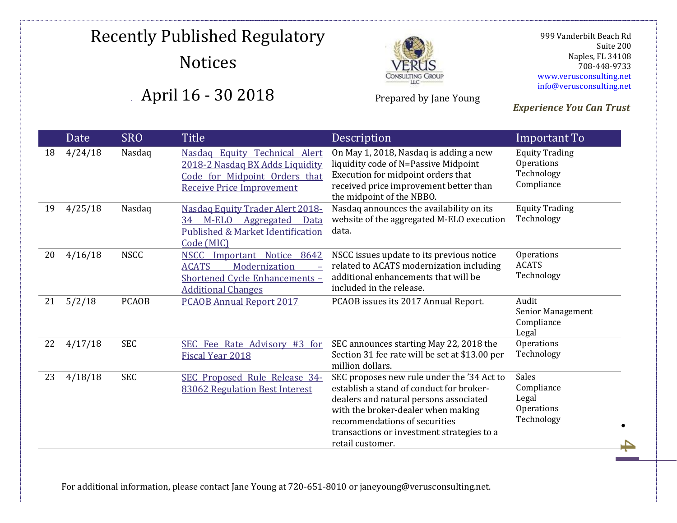

Prepared by Jane Young

 999 Vanderbilt Beach Rd Suite 200 Naples, FL 34108 708-448-9733 [www.verusconsulting.net](http://www.verusconsulting.net/) [info@verusconsulting.net](mailto:info@verusconsulting.net)

*Experience You Can Trust*

|    | Date    | <b>SRO</b>   | <b>Title</b>                                                                                                                                                        | Description                                                                                                                                                                                                                                                               | Important To                                                    |
|----|---------|--------------|---------------------------------------------------------------------------------------------------------------------------------------------------------------------|---------------------------------------------------------------------------------------------------------------------------------------------------------------------------------------------------------------------------------------------------------------------------|-----------------------------------------------------------------|
| 18 | 4/24/18 | Nasdaq       | Nasdaq Equity Technical Alert<br>2018-2 Nasdaq BX Adds Liquidity<br>Code for Midpoint Orders that<br><b>Receive Price Improvement</b>                               | On May 1, 2018, Nasdaq is adding a new<br>liquidity code of N=Passive Midpoint<br>Execution for midpoint orders that<br>received price improvement better than<br>the midpoint of the NBBO.                                                                               | <b>Equity Trading</b><br>Operations<br>Technology<br>Compliance |
| 19 | 4/25/18 | Nasdaq       | Nasdaq Equity Trader Alert 2018-<br>34 M-ELO Aggregated<br>Data<br>Published & Market Identification<br>Code (MIC)                                                  | Nasdaq announces the availability on its<br>website of the aggregated M-ELO execution<br>data.                                                                                                                                                                            | <b>Equity Trading</b><br>Technology                             |
| 20 | 4/16/18 | <b>NSCC</b>  | Notice 8642<br><b>NSCC</b><br>Important<br><b>ACATS</b><br>Modernization<br>$\overline{\phantom{a}}$<br>Shortened Cycle Enhancements -<br><b>Additional Changes</b> | NSCC issues update to its previous notice<br>related to ACATS modernization including<br>additional enhancements that will be<br>included in the release.                                                                                                                 | <b>Operations</b><br><b>ACATS</b><br>Technology                 |
| 21 | 5/2/18  | <b>PCAOB</b> | <b>PCAOB Annual Report 2017</b>                                                                                                                                     | PCAOB issues its 2017 Annual Report.                                                                                                                                                                                                                                      | Audit<br>Senior Management<br>Compliance<br>Legal               |
| 22 | 4/17/18 | <b>SEC</b>   | SEC Fee Rate Advisory #3 for<br>Fiscal Year 2018                                                                                                                    | SEC announces starting May 22, 2018 the<br>Section 31 fee rate will be set at \$13.00 per<br>million dollars.                                                                                                                                                             | Operations<br>Technology                                        |
| 23 | 4/18/18 | <b>SEC</b>   | SEC Proposed Rule Release 34-<br>83062 Regulation Best Interest                                                                                                     | SEC proposes new rule under the '34 Act to<br>establish a stand of conduct for broker-<br>dealers and natural persons associated<br>with the broker-dealer when making<br>recommendations of securities<br>transactions or investment strategies to a<br>retail customer. | <b>Sales</b><br>Compliance<br>Legal<br>Operations<br>Technology |

For additional information, please contact Jane Young at 720-651-8010 or janeyoung@verusconsulting.net.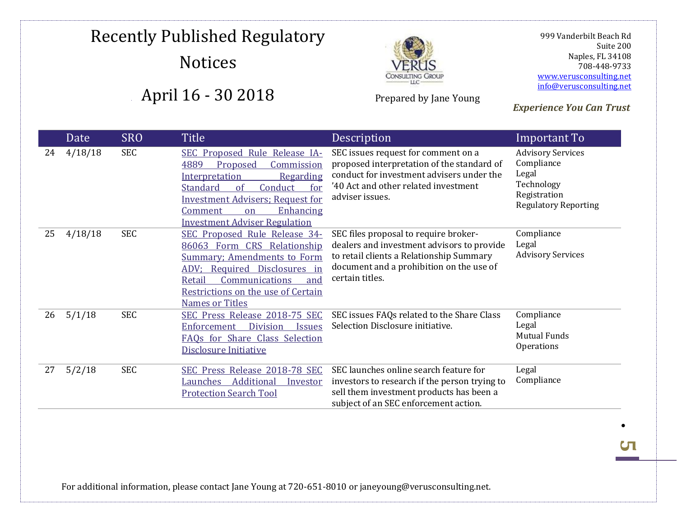

Prepared by Jane Young

 999 Vanderbilt Beach Rd Suite 200 Naples, FL 34108 708-448-9733 [www.verusconsulting.net](http://www.verusconsulting.net/) [info@verusconsulting.net](mailto:info@verusconsulting.net)

### *Experience You Can Trust*

|    | Date    | <b>SRO</b> | <b>Title</b>                                                                                                                                                                                                                                                   | Description                                                                                                                                                                                    | Important To                                                                                                 |
|----|---------|------------|----------------------------------------------------------------------------------------------------------------------------------------------------------------------------------------------------------------------------------------------------------------|------------------------------------------------------------------------------------------------------------------------------------------------------------------------------------------------|--------------------------------------------------------------------------------------------------------------|
| 24 | 4/18/18 | <b>SEC</b> | SEC Proposed Rule Release IA-<br>4889<br>Proposed<br>Commission<br>Interpretation<br>Regarding<br>Standard<br>Conduct<br><sub>of</sub><br>for<br><b>Investment Advisers; Request for</b><br>Enhancing<br>Comment<br>on<br><b>Investment Adviser Regulation</b> | SEC issues request for comment on a<br>proposed interpretation of the standard of<br>conduct for investment advisers under the<br>'40 Act and other related investment<br>adviser issues.      | <b>Advisory Services</b><br>Compliance<br>Legal<br>Technology<br>Registration<br><b>Regulatory Reporting</b> |
| 25 | 4/18/18 | <b>SEC</b> | SEC Proposed Rule Release 34-<br>86063 Form CRS Relationship<br><b>Summary: Amendments to Form</b><br>ADV; Required Disclosures in<br>Communications<br>Retail<br>and<br>Restrictions on the use of Certain<br><b>Names or Titles</b>                          | SEC files proposal to require broker-<br>dealers and investment advisors to provide<br>to retail clients a Relationship Summary<br>document and a prohibition on the use of<br>certain titles. | Compliance<br>Legal<br><b>Advisory Services</b>                                                              |
| 26 | 5/1/18  | <b>SEC</b> | SEC Press Release 2018-75 SEC<br><b>Division</b><br>Enforcement<br><i><u><b>Issues</b></u></i><br>FAQs for Share Class Selection<br><b>Disclosure Initiative</b>                                                                                               | SEC issues FAQs related to the Share Class<br>Selection Disclosure initiative.                                                                                                                 | Compliance<br>Legal<br><b>Mutual Funds</b><br>Operations                                                     |
| 27 | 5/2/18  | <b>SEC</b> | SEC Press Release 2018-78 SEC<br>Additional<br>Launches<br><b>Investor</b><br><b>Protection Search Tool</b>                                                                                                                                                    | SEC launches online search feature for<br>investors to research if the person trying to<br>sell them investment products has been a<br>subject of an SEC enforcement action.                   | Legal<br>Compliance                                                                                          |

For additional information, please contact Jane Young at 720-651-8010 or janeyoung@verusconsulting.net.

 $\bullet$